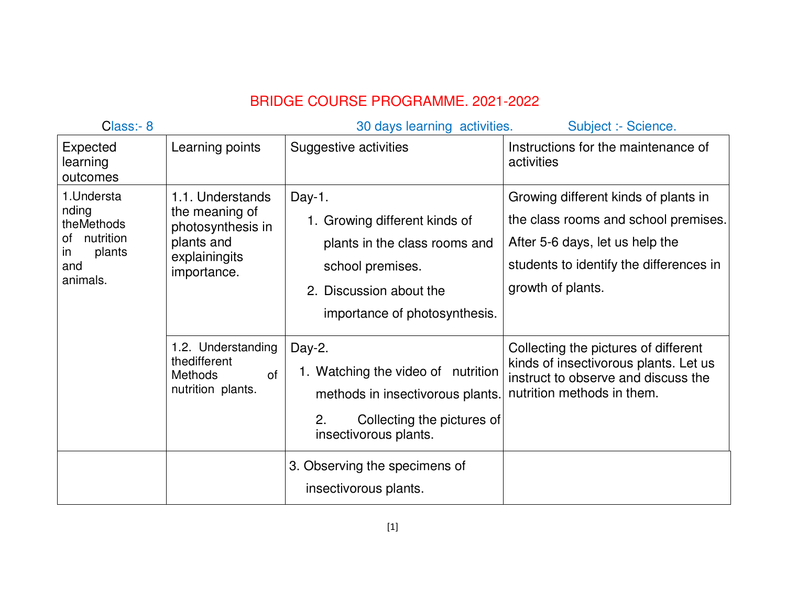## BRIDGE COURSE PROGRAMME. 2021-2022

| Class:- 8                                                                                       | 30 days learning activities.<br>Subject :- Science.                                                   |                                                                                                                                                          |                                                                                                                                                                                 |  |  |
|-------------------------------------------------------------------------------------------------|-------------------------------------------------------------------------------------------------------|----------------------------------------------------------------------------------------------------------------------------------------------------------|---------------------------------------------------------------------------------------------------------------------------------------------------------------------------------|--|--|
| Expected<br>learning<br>outcomes                                                                | Learning points                                                                                       | Suggestive activities                                                                                                                                    | Instructions for the maintenance of<br>activities                                                                                                                               |  |  |
| 1. Understa<br>nding<br>theMethods<br>nutrition<br>of<br>plants<br><i>in</i><br>and<br>animals. | 1.1. Understands<br>the meaning of<br>photosynthesis in<br>plants and<br>explainingits<br>importance. | Day-1.<br>1. Growing different kinds of<br>plants in the class rooms and<br>school premises.<br>2. Discussion about the<br>importance of photosynthesis. | Growing different kinds of plants in<br>the class rooms and school premises.<br>After 5-6 days, let us help the<br>students to identify the differences in<br>growth of plants. |  |  |
|                                                                                                 | 1.2. Understanding<br>thedifferent<br>of<br>Methods<br>nutrition plants.                              | Day-2.<br>1. Watching the video of nutrition<br>methods in insectivorous plants.<br>2.<br>Collecting the pictures of<br>insectivorous plants.            | Collecting the pictures of different<br>kinds of insectivorous plants. Let us<br>instruct to observe and discuss the<br>nutrition methods in them.                              |  |  |
|                                                                                                 |                                                                                                       | 3. Observing the specimens of<br>insectivorous plants.                                                                                                   |                                                                                                                                                                                 |  |  |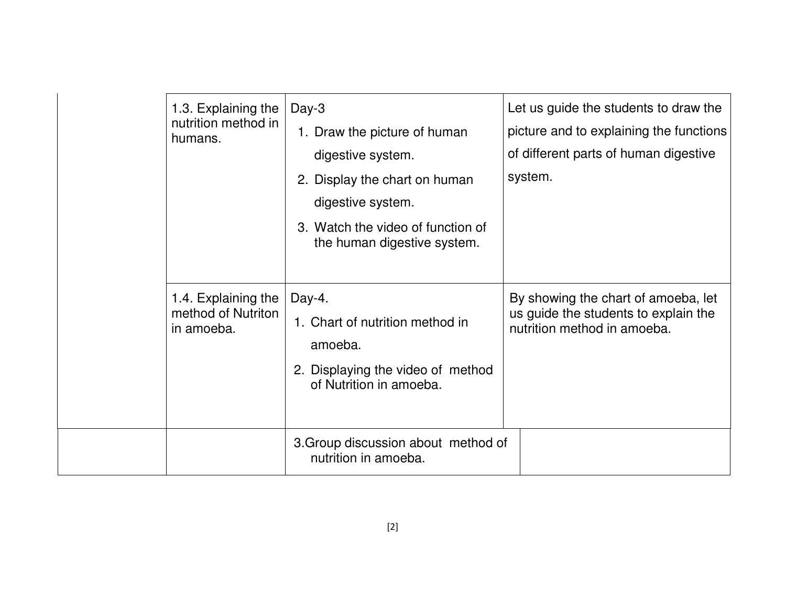| 1.3. Explaining the<br>nutrition method in<br>humans.   | $Day-3$<br>1. Draw the picture of human<br>digestive system.<br>2. Display the chart on human<br>digestive system.<br>3. Watch the video of function of<br>the human digestive system. | Let us guide the students to draw the<br>picture and to explaining the functions<br>of different parts of human digestive<br>system. |
|---------------------------------------------------------|----------------------------------------------------------------------------------------------------------------------------------------------------------------------------------------|--------------------------------------------------------------------------------------------------------------------------------------|
| 1.4. Explaining the<br>method of Nutriton<br>in amoeba. | Day-4.<br>1. Chart of nutrition method in<br>amoeba.<br>2. Displaying the video of method<br>of Nutrition in amoeba.                                                                   | By showing the chart of amoeba, let<br>us guide the students to explain the<br>nutrition method in amoeba.                           |
|                                                         | 3. Group discussion about method of<br>nutrition in amoeba.                                                                                                                            |                                                                                                                                      |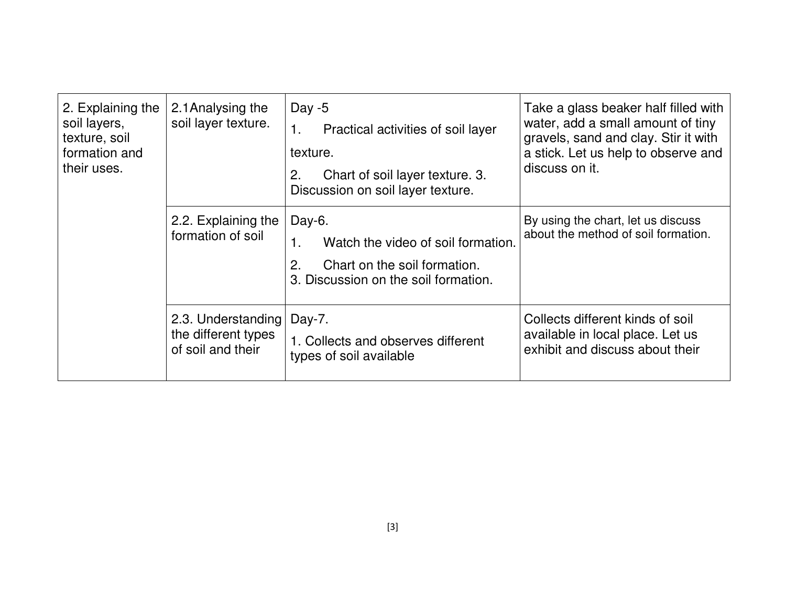| 2. Explaining the<br>soil layers,<br>texture, soil<br>formation and<br>their uses. | 2.1 Analysing the<br>soil layer texture.                       | Day $-5$<br>Practical activities of soil layer<br>1.<br>texture.<br>Chart of soil layer texture. 3.<br>2.<br>Discussion on soil layer texture. | Take a glass beaker half filled with<br>water, add a small amount of tiny<br>gravels, sand and clay. Stir it with<br>a stick. Let us help to observe and<br>discuss on it. |
|------------------------------------------------------------------------------------|----------------------------------------------------------------|------------------------------------------------------------------------------------------------------------------------------------------------|----------------------------------------------------------------------------------------------------------------------------------------------------------------------------|
|                                                                                    | 2.2. Explaining the<br>formation of soil                       | Day-6.<br>Watch the video of soil formation.<br>1.<br>Chart on the soil formation.<br>2.<br>3. Discussion on the soil formation.               | By using the chart, let us discuss<br>about the method of soil formation.                                                                                                  |
|                                                                                    | 2.3. Understanding<br>the different types<br>of soil and their | Day-7.<br>1. Collects and observes different<br>types of soil available                                                                        | Collects different kinds of soil<br>available in local place. Let us<br>exhibit and discuss about their                                                                    |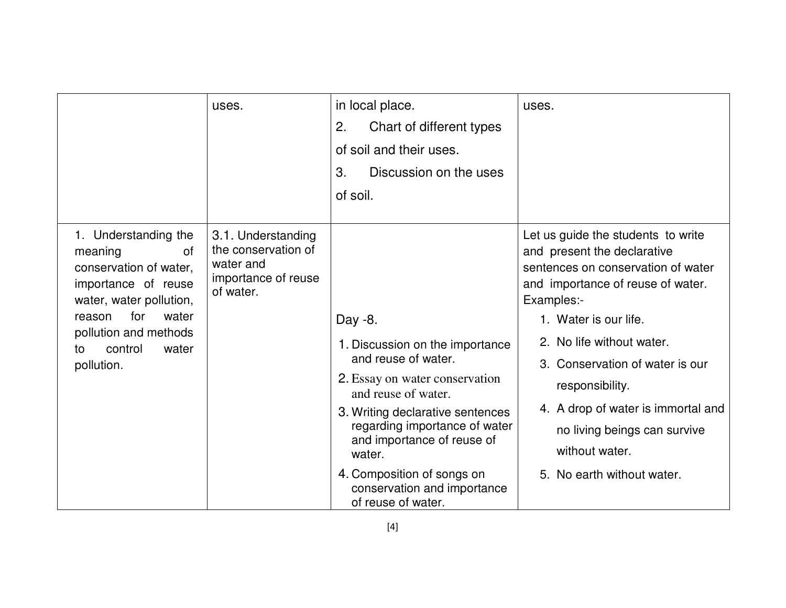|                                                                                                                                                                                                              | uses.                                                                                      | in local place.<br>2.<br>Chart of different types<br>of soil and their uses.<br>3.<br>Discussion on the uses<br>of soil.                                                                                                                                                                                                   | uses.                                                                                                                                                                                                                                                                                                                                                                                        |
|--------------------------------------------------------------------------------------------------------------------------------------------------------------------------------------------------------------|--------------------------------------------------------------------------------------------|----------------------------------------------------------------------------------------------------------------------------------------------------------------------------------------------------------------------------------------------------------------------------------------------------------------------------|----------------------------------------------------------------------------------------------------------------------------------------------------------------------------------------------------------------------------------------------------------------------------------------------------------------------------------------------------------------------------------------------|
| 1. Understanding the<br>meaning<br>0f<br>conservation of water.<br>importance of reuse<br>water, water pollution,<br>for<br>water<br>reason<br>pollution and methods<br>control<br>water<br>to<br>pollution. | 3.1. Understanding<br>the conservation of<br>water and<br>importance of reuse<br>of water. | Day -8.<br>1. Discussion on the importance<br>and reuse of water.<br>2. Essay on water conservation<br>and reuse of water.<br>3. Writing declarative sentences<br>regarding importance of water<br>and importance of reuse of<br>water.<br>4. Composition of songs on<br>conservation and importance<br>of reuse of water. | Let us guide the students to write<br>and present the declarative<br>sentences on conservation of water<br>and importance of reuse of water.<br>Examples:-<br>1. Water is our life.<br>2. No life without water.<br>3. Conservation of water is our<br>responsibility.<br>4. A drop of water is immortal and<br>no living beings can survive<br>without water.<br>5. No earth without water. |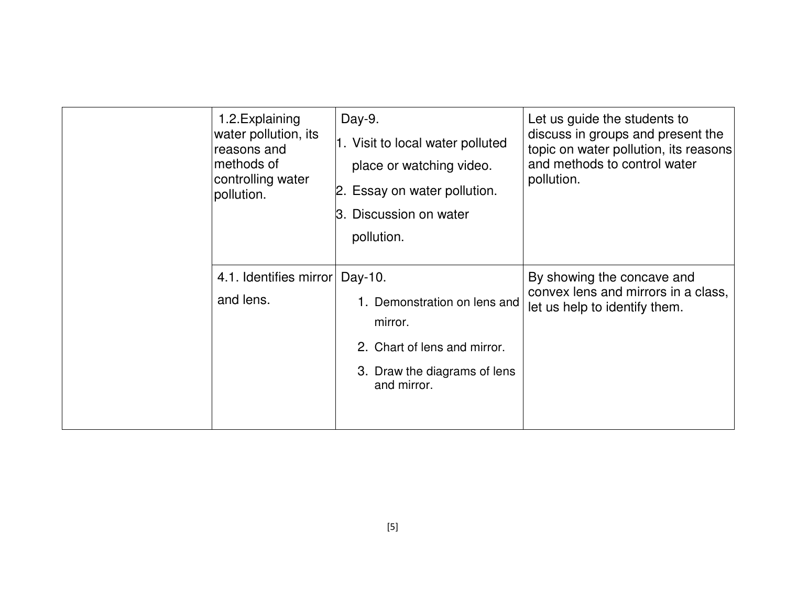| 1.2. Explaining<br>water pollution, its<br>reasons and<br>methods of<br>controlling water<br>pollution. | Day-9.<br>1. Visit to local water polluted<br>place or watching video.<br>2. Essay on water pollution.<br>3. Discussion on water<br>pollution. | Let us guide the students to<br>discuss in groups and present the<br>topic on water pollution, its reasons<br>and methods to control water<br>pollution. |
|---------------------------------------------------------------------------------------------------------|------------------------------------------------------------------------------------------------------------------------------------------------|----------------------------------------------------------------------------------------------------------------------------------------------------------|
| 4.1. Identifies mirror<br>and lens.                                                                     | Day-10.<br>1. Demonstration on lens and<br>mirror.<br>2. Chart of lens and mirror.<br>3. Draw the diagrams of lens<br>and mirror.              | By showing the concave and<br>convex lens and mirrors in a class,<br>let us help to identify them.                                                       |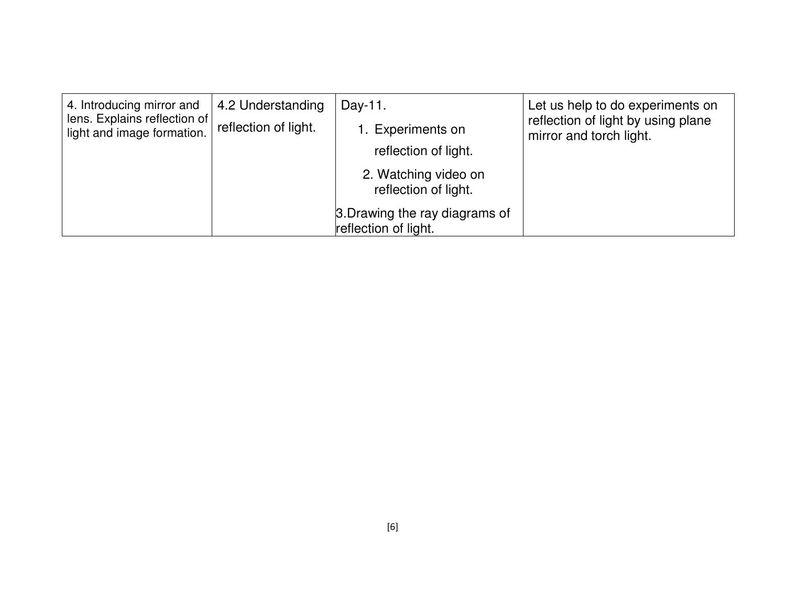| 4. Introducing mirror and<br>lens. Explains reflection of<br>light and image formation. | 4.2 Understanding<br>reflection of light. | Day-11.<br>1. Experiments on<br>reflection of light.<br>2. Watching video on<br>reflection of light.<br>3. Drawing the ray diagrams of | Let us help to do experiments on<br>reflection of light by using plane<br>mirror and torch light. |
|-----------------------------------------------------------------------------------------|-------------------------------------------|----------------------------------------------------------------------------------------------------------------------------------------|---------------------------------------------------------------------------------------------------|
|                                                                                         |                                           | reflection of light.                                                                                                                   |                                                                                                   |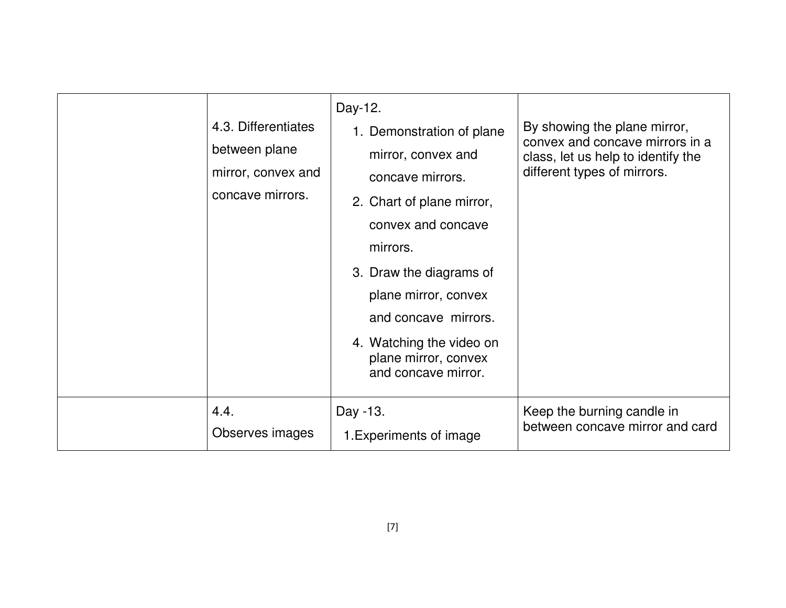| 4.3. Differentiates<br>between plane<br>mirror, convex and<br>concave mirrors. | Day-12.<br>1. Demonstration of plane<br>mirror, convex and<br>concave mirrors.<br>2. Chart of plane mirror,<br>convex and concave<br>mirrors.<br>3. Draw the diagrams of<br>plane mirror, convex<br>and concave mirrors.<br>4. Watching the video on<br>plane mirror, convex<br>and concave mirror. | By showing the plane mirror,<br>convex and concave mirrors in a<br>class, let us help to identify the<br>different types of mirrors. |
|--------------------------------------------------------------------------------|-----------------------------------------------------------------------------------------------------------------------------------------------------------------------------------------------------------------------------------------------------------------------------------------------------|--------------------------------------------------------------------------------------------------------------------------------------|
| 4.4.                                                                           | Day -13.                                                                                                                                                                                                                                                                                            | Keep the burning candle in                                                                                                           |
| Observes images                                                                | 1. Experiments of image                                                                                                                                                                                                                                                                             | between concave mirror and card                                                                                                      |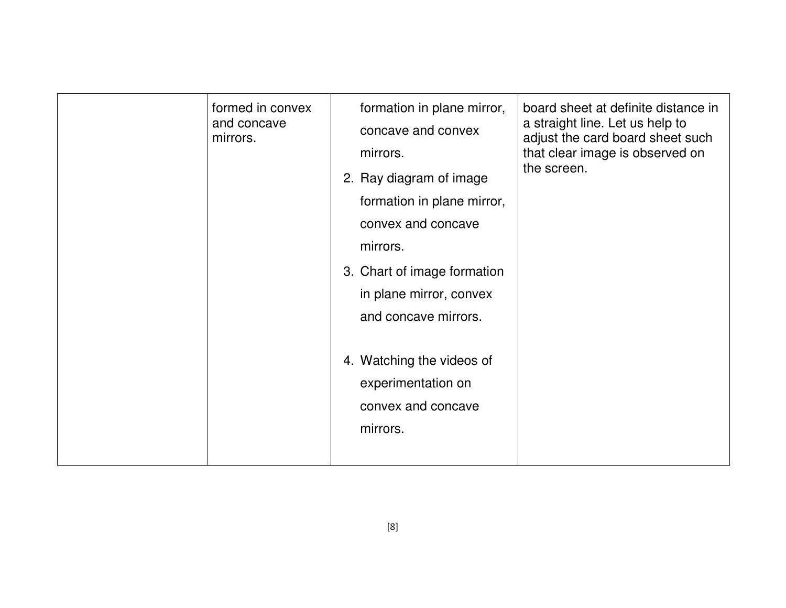| formed in convex<br>and concave<br>mirrors. | formation in plane mirror,<br>concave and convex<br>mirrors.<br>2. Ray diagram of image<br>formation in plane mirror,<br>convex and concave<br>mirrors.<br>3. Chart of image formation<br>in plane mirror, convex<br>and concave mirrors.<br>4. Watching the videos of<br>experimentation on<br>convex and concave<br>mirrors. | board sheet at definite distance in<br>a straight line. Let us help to<br>adjust the card board sheet such<br>that clear image is observed on<br>the screen. |
|---------------------------------------------|--------------------------------------------------------------------------------------------------------------------------------------------------------------------------------------------------------------------------------------------------------------------------------------------------------------------------------|--------------------------------------------------------------------------------------------------------------------------------------------------------------|
|                                             |                                                                                                                                                                                                                                                                                                                                |                                                                                                                                                              |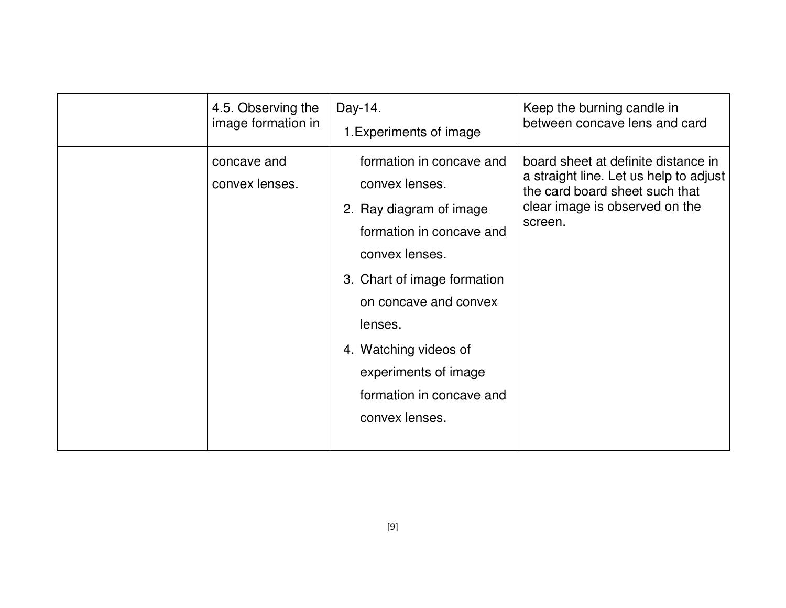| 4.5. Observing the            | Day-14.                                                                                                                                                                                                                                                                               | Keep the burning candle in                                                                                                                                   |
|-------------------------------|---------------------------------------------------------------------------------------------------------------------------------------------------------------------------------------------------------------------------------------------------------------------------------------|--------------------------------------------------------------------------------------------------------------------------------------------------------------|
| image formation in            | 1. Experiments of image                                                                                                                                                                                                                                                               | between concave lens and card                                                                                                                                |
| concave and<br>convex lenses. | formation in concave and<br>convex lenses.<br>2. Ray diagram of image<br>formation in concave and<br>convex lenses.<br>3. Chart of image formation<br>on concave and convex<br>lenses.<br>4. Watching videos of<br>experiments of image<br>formation in concave and<br>convex lenses. | board sheet at definite distance in<br>a straight line. Let us help to adjust<br>the card board sheet such that<br>clear image is observed on the<br>screen. |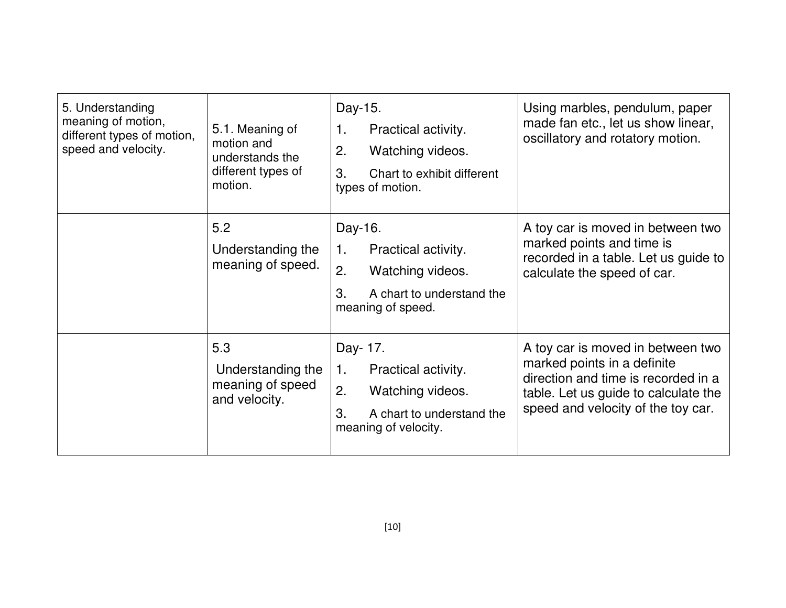| 5. Understanding<br>meaning of motion,<br>different types of motion,<br>speed and velocity. | 5.1. Meaning of<br>motion and<br>understands the<br>different types of<br>motion. | Day-15.<br>Practical activity.<br>1.<br>2.<br>Watching videos.<br>3.<br>Chart to exhibit different<br>types of motion.     | Using marbles, pendulum, paper<br>made fan etc., let us show linear,<br>oscillatory and rotatory motion.                                                                              |
|---------------------------------------------------------------------------------------------|-----------------------------------------------------------------------------------|----------------------------------------------------------------------------------------------------------------------------|---------------------------------------------------------------------------------------------------------------------------------------------------------------------------------------|
|                                                                                             | 5.2<br>Understanding the<br>meaning of speed.                                     | Day-16.<br>1.<br>Practical activity.<br>2.<br>Watching videos.<br>3.<br>A chart to understand the<br>meaning of speed.     | A toy car is moved in between two<br>marked points and time is<br>recorded in a table. Let us guide to<br>calculate the speed of car.                                                 |
|                                                                                             | 5.3<br>Understanding the<br>meaning of speed<br>and velocity.                     | Day- 17.<br>Practical activity.<br>1.<br>2.<br>Watching videos.<br>3.<br>A chart to understand the<br>meaning of velocity. | A toy car is moved in between two<br>marked points in a definite<br>direction and time is recorded in a<br>table. Let us guide to calculate the<br>speed and velocity of the toy car. |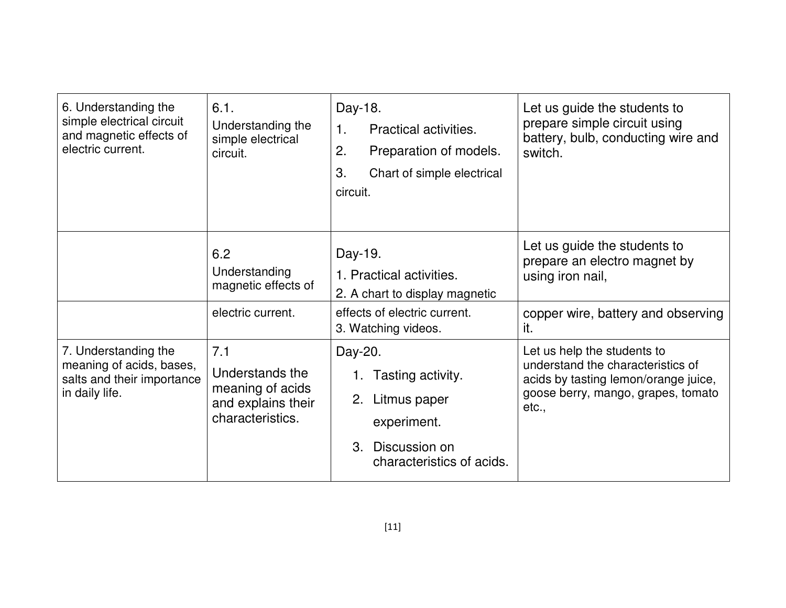| 6. Understanding the<br>simple electrical circuit<br>and magnetic effects of<br>electric current. | 6.1.<br>Understanding the<br>simple electrical<br>circuit.                           | Day-18.<br>$\mathbf 1$ .<br>Practical activities.<br>2.<br>Preparation of models.<br>3.<br>Chart of simple electrical<br>circuit. | Let us guide the students to<br>prepare simple circuit using<br>battery, bulb, conducting wire and<br>switch.                                           |
|---------------------------------------------------------------------------------------------------|--------------------------------------------------------------------------------------|-----------------------------------------------------------------------------------------------------------------------------------|---------------------------------------------------------------------------------------------------------------------------------------------------------|
|                                                                                                   | 6.2<br>Understanding<br>magnetic effects of                                          | Day-19.<br>1. Practical activities.<br>2. A chart to display magnetic                                                             | Let us guide the students to<br>prepare an electro magnet by<br>using iron nail,                                                                        |
|                                                                                                   | electric current.                                                                    | effects of electric current.<br>3. Watching videos.                                                                               | copper wire, battery and observing<br>it.                                                                                                               |
| 7. Understanding the<br>meaning of acids, bases,<br>salts and their importance<br>in daily life.  | 7.1<br>Understands the<br>meaning of acids<br>and explains their<br>characteristics. | Day-20.<br>1. Tasting activity.<br>2. Litmus paper<br>experiment.<br>3. Discussion on<br>characteristics of acids.                | Let us help the students to<br>understand the characteristics of<br>acids by tasting lemon/orange juice,<br>goose berry, mango, grapes, tomato<br>etc., |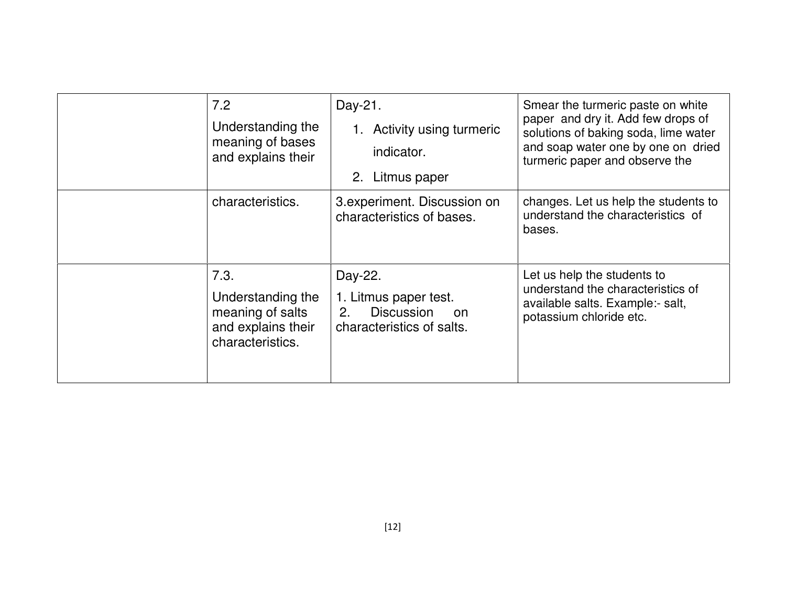| 7.2<br>Understanding the<br>meaning of bases<br>and explains their                      | Day-21.<br>1. Activity using turmeric<br>indicator.<br>2. Litmus paper                          | Smear the turmeric paste on white<br>paper and dry it. Add few drops of<br>solutions of baking soda, lime water<br>and soap water one by one on dried<br>turmeric paper and observe the |
|-----------------------------------------------------------------------------------------|-------------------------------------------------------------------------------------------------|-----------------------------------------------------------------------------------------------------------------------------------------------------------------------------------------|
| characteristics.                                                                        | 3. experiment. Discussion on<br>characteristics of bases.                                       | changes. Let us help the students to<br>understand the characteristics of<br>bases.                                                                                                     |
| 7.3.<br>Understanding the<br>meaning of salts<br>and explains their<br>characteristics. | Day-22.<br>1. Litmus paper test.<br><b>Discussion</b><br>2.<br>on.<br>characteristics of salts. | Let us help the students to<br>understand the characteristics of<br>available salts. Example:- salt,<br>potassium chloride etc.                                                         |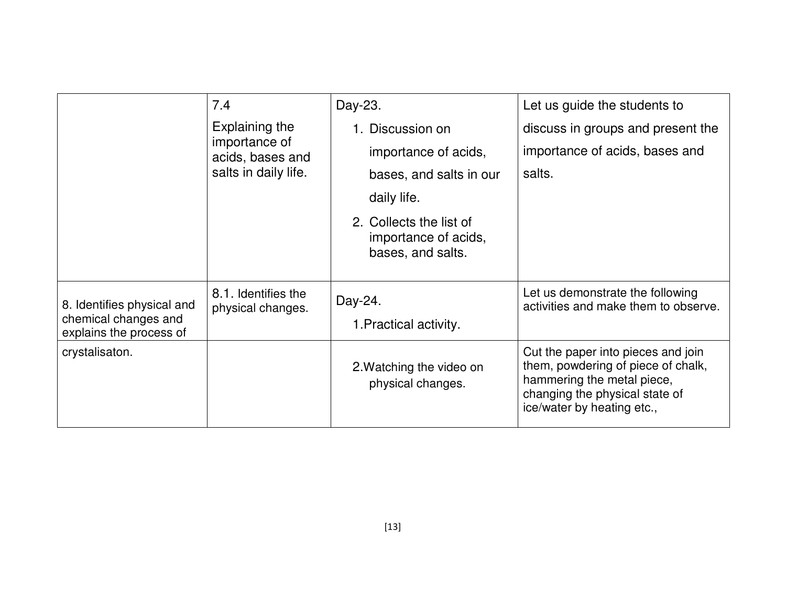|                                                                               | 7.4                                                                         | Day-23.                                                              | Let us guide the students to                                                                                                                                           |
|-------------------------------------------------------------------------------|-----------------------------------------------------------------------------|----------------------------------------------------------------------|------------------------------------------------------------------------------------------------------------------------------------------------------------------------|
|                                                                               | Explaining the<br>importance of<br>acids, bases and<br>salts in daily life. | 1. Discussion on                                                     | discuss in groups and present the                                                                                                                                      |
|                                                                               |                                                                             | importance of acids,                                                 | importance of acids, bases and                                                                                                                                         |
|                                                                               |                                                                             | bases, and salts in our                                              | salts.                                                                                                                                                                 |
|                                                                               |                                                                             | daily life.                                                          |                                                                                                                                                                        |
|                                                                               |                                                                             | 2. Collects the list of<br>importance of acids,<br>bases, and salts. |                                                                                                                                                                        |
| 8. Identifies physical and<br>chemical changes and<br>explains the process of | 8.1. Identifies the<br>physical changes.                                    | Day-24.<br>1. Practical activity.                                    | Let us demonstrate the following<br>activities and make them to observe.                                                                                               |
| crystalisaton.                                                                |                                                                             | 2. Watching the video on<br>physical changes.                        | Cut the paper into pieces and join<br>them, powdering of piece of chalk,<br>hammering the metal piece,<br>changing the physical state of<br>ice/water by heating etc., |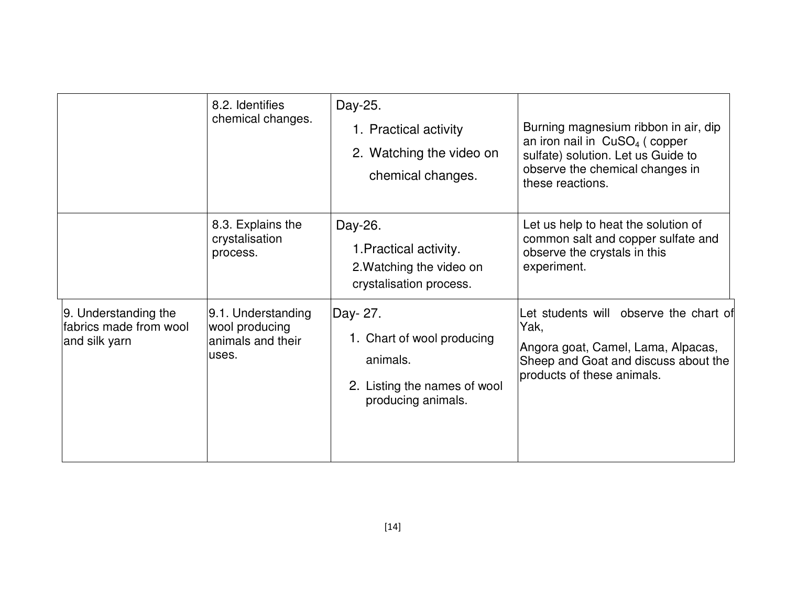|                                                                 | 8.2. Identifies<br>chemical changes.                               | Day-25.<br>1. Practical activity<br>2. Watching the video on<br>chemical changes.                        | Burning magnesium ribbon in air, dip<br>an iron nail in $CuSO4$ (copper<br>sulfate) solution. Let us Guide to<br>observe the chemical changes in<br>these reactions. |
|-----------------------------------------------------------------|--------------------------------------------------------------------|----------------------------------------------------------------------------------------------------------|----------------------------------------------------------------------------------------------------------------------------------------------------------------------|
|                                                                 | 8.3. Explains the<br>crystalisation<br>process.                    | Day-26.<br>1. Practical activity.<br>2. Watching the video on<br>crystalisation process.                 | Let us help to heat the solution of<br>common salt and copper sulfate and<br>observe the crystals in this<br>experiment.                                             |
| 9. Understanding the<br>fabrics made from wool<br>and silk yarn | 9.1. Understanding<br>wool producing<br>animals and their<br>uses. | Day- 27.<br>1. Chart of wool producing<br>animals.<br>2. Listing the names of wool<br>producing animals. | Let students will observe the chart of<br>Yak,<br>Angora goat, Camel, Lama, Alpacas,<br>Sheep and Goat and discuss about the<br>products of these animals.           |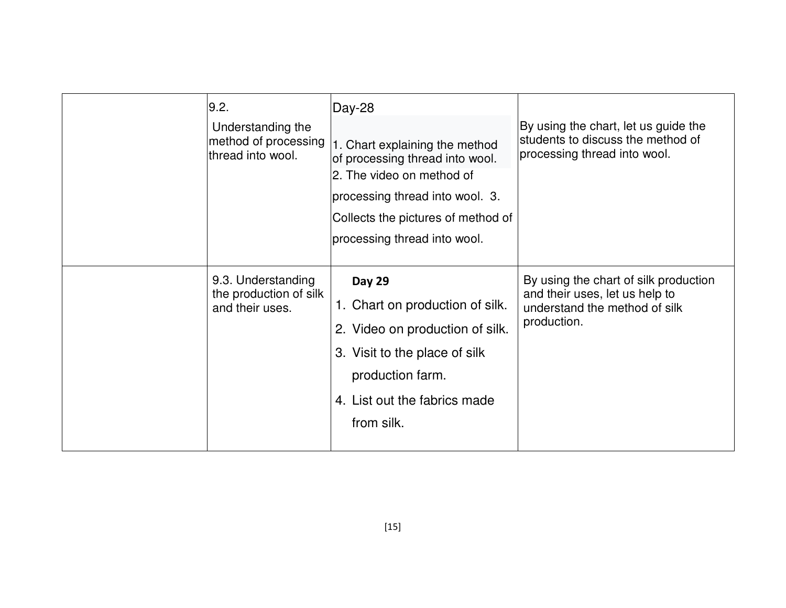| 9.2.<br>Understanding the<br>method of processing<br>thread into wool. | Day-28<br>1. Chart explaining the method<br>of processing thread into wool.<br>2. The video on method of<br>processing thread into wool. 3.<br>Collects the pictures of method of<br>processing thread into wool. | By using the chart, let us guide the<br>students to discuss the method of<br>processing thread into wool.               |
|------------------------------------------------------------------------|-------------------------------------------------------------------------------------------------------------------------------------------------------------------------------------------------------------------|-------------------------------------------------------------------------------------------------------------------------|
| 9.3. Understanding<br>the production of silk<br>and their uses.        | <b>Day 29</b><br>1. Chart on production of silk.<br>2. Video on production of silk.<br>3. Visit to the place of silk<br>production farm.<br>4. List out the fabrics made<br>from silk.                            | By using the chart of silk production<br>and their uses, let us help to<br>understand the method of silk<br>production. |